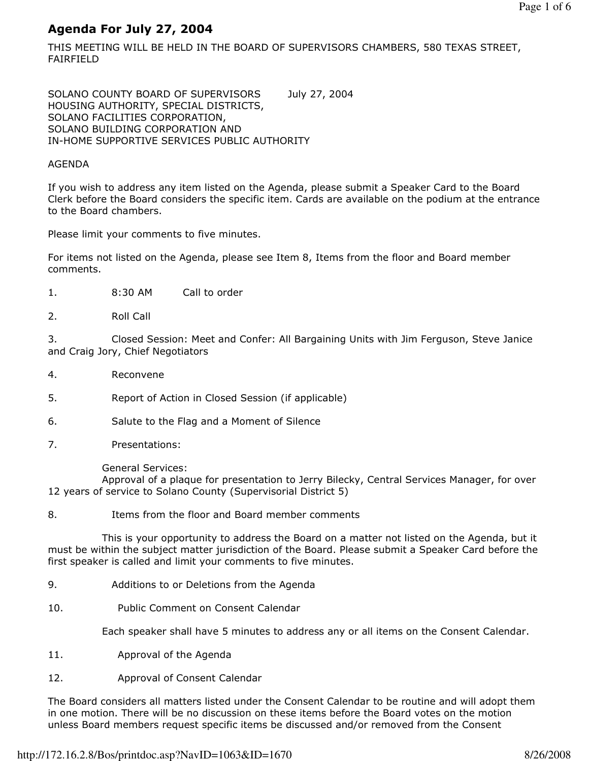# Agenda For July 27, 2004

THIS MEETING WILL BE HELD IN THE BOARD OF SUPERVISORS CHAMBERS, 580 TEXAS STREET, FAIRFIELD

SOLANO COUNTY BOARD OF SUPERVISORS July 27, 2004 HOUSING AUTHORITY, SPECIAL DISTRICTS, SOLANO FACILITIES CORPORATION, SOLANO BUILDING CORPORATION AND IN-HOME SUPPORTIVE SERVICES PUBLIC AUTHORITY

#### AGENDA

If you wish to address any item listed on the Agenda, please submit a Speaker Card to the Board Clerk before the Board considers the specific item. Cards are available on the podium at the entrance to the Board chambers.

Please limit your comments to five minutes.

For items not listed on the Agenda, please see Item 8, Items from the floor and Board member comments.

- 1. 8:30 AM Call to order
- 2. Roll Call

3. Closed Session: Meet and Confer: All Bargaining Units with Jim Ferguson, Steve Janice and Craig Jory, Chief Negotiators

- 4. Reconvene
- 5. Report of Action in Closed Session (if applicable)
- 6. Salute to the Flag and a Moment of Silence
- 7. Presentations:

General Services:

 Approval of a plaque for presentation to Jerry Bilecky, Central Services Manager, for over 12 years of service to Solano County (Supervisorial District 5)

8. Items from the floor and Board member comments

 This is your opportunity to address the Board on a matter not listed on the Agenda, but it must be within the subject matter jurisdiction of the Board. Please submit a Speaker Card before the first speaker is called and limit your comments to five minutes.

- 9. Additions to or Deletions from the Agenda
- 10. Public Comment on Consent Calendar

Each speaker shall have 5 minutes to address any or all items on the Consent Calendar.

- 11. Approval of the Agenda
- 12. Approval of Consent Calendar

The Board considers all matters listed under the Consent Calendar to be routine and will adopt them in one motion. There will be no discussion on these items before the Board votes on the motion unless Board members request specific items be discussed and/or removed from the Consent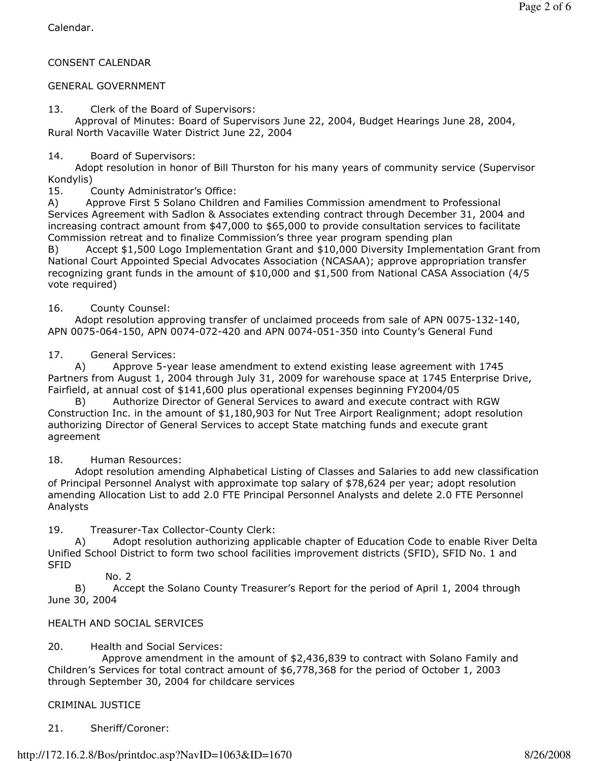Calendar.

#### CONSENT CALENDAR

#### GENERAL GOVERNMENT

13. Clerk of the Board of Supervisors:

 Approval of Minutes: Board of Supervisors June 22, 2004, Budget Hearings June 28, 2004, Rural North Vacaville Water District June 22, 2004

14. Board of Supervisors:

 Adopt resolution in honor of Bill Thurston for his many years of community service (Supervisor Kondylis)

15. County Administrator's Office:

A) Approve First 5 Solano Children and Families Commission amendment to Professional Services Agreement with Sadlon & Associates extending contract through December 31, 2004 and increasing contract amount from  $$47,000$  to  $$65,000$  to provide consultation services to facilitate Commission retreat and to finalize Commission's three year program spending plan

B) Accept \$1,500 Logo Implementation Grant and \$10,000 Diversity Implementation Grant from National Court Appointed Special Advocates Association (NCASAA); approve appropriation transfer recognizing grant funds in the amount of \$10,000 and \$1,500 from National CASA Association (4/5 vote required)

16. County Counsel:

 Adopt resolution approving transfer of unclaimed proceeds from sale of APN 0075-132-140, APN 0075-064-150, APN 0074-072-420 and APN 0074-051-350 into County's General Fund

17. General Services:

 A) Approve 5-year lease amendment to extend existing lease agreement with 1745 Partners from August 1, 2004 through July 31, 2009 for warehouse space at 1745 Enterprise Drive, Fairfield, at annual cost of \$141,600 plus operational expenses beginning FY2004/05

 B) Authorize Director of General Services to award and execute contract with RGW Construction Inc. in the amount of \$1,180,903 for Nut Tree Airport Realignment; adopt resolution authorizing Director of General Services to accept State matching funds and execute grant agreement

18. Human Resources:

 Adopt resolution amending Alphabetical Listing of Classes and Salaries to add new classification of Principal Personnel Analyst with approximate top salary of \$78,624 per year; adopt resolution amending Allocation List to add 2.0 FTE Principal Personnel Analysts and delete 2.0 FTE Personnel Analysts

19. Treasurer-Tax Collector-County Clerk:

 A) Adopt resolution authorizing applicable chapter of Education Code to enable River Delta Unified School District to form two school facilities improvement districts (SFID), SFID No. 1 and SFID

No. 2

 B) Accept the Solano County Treasurer's Report for the period of April 1, 2004 through June 30, 2004

#### HEALTH AND SOCIAL SERVICES

20. Health and Social Services:

 Approve amendment in the amount of \$2,436,839 to contract with Solano Family and Children's Services for total contract amount of \$6,778,368 for the period of October 1, 2003 through September 30, 2004 for childcare services

CRIMINAL JUSTICE

21. Sheriff/Coroner: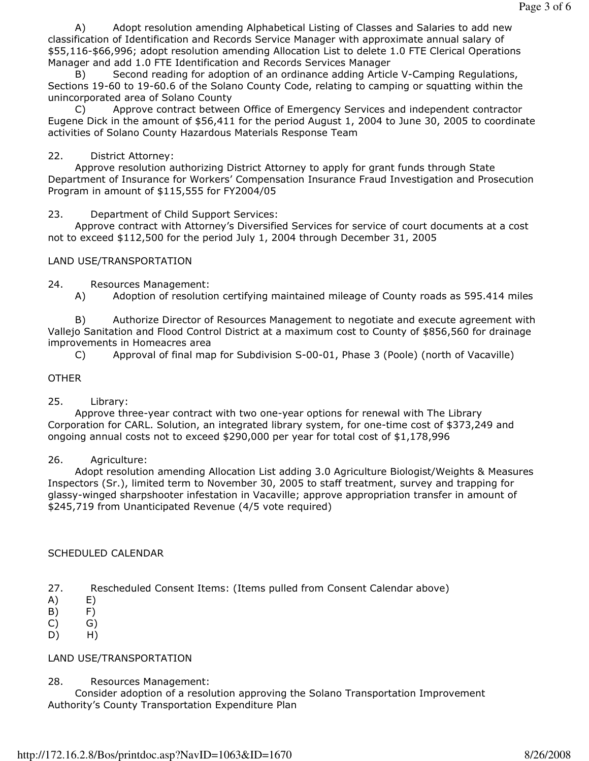A) Adopt resolution amending Alphabetical Listing of Classes and Salaries to add new classification of Identification and Records Service Manager with approximate annual salary of \$55,116-\$66,996; adopt resolution amending Allocation List to delete 1.0 FTE Clerical Operations Manager and add 1.0 FTE Identification and Records Services Manager

 B) Second reading for adoption of an ordinance adding Article V-Camping Regulations, Sections 19-60 to 19-60.6 of the Solano County Code, relating to camping or squatting within the unincorporated area of Solano County

 C) Approve contract between Office of Emergency Services and independent contractor Eugene Dick in the amount of \$56,411 for the period August 1, 2004 to June 30, 2005 to coordinate activities of Solano County Hazardous Materials Response Team

# 22. District Attorney:

 Approve resolution authorizing District Attorney to apply for grant funds through State Department of Insurance for Workers' Compensation Insurance Fraud Investigation and Prosecution Program in amount of \$115,555 for FY2004/05

23. Department of Child Support Services:

 Approve contract with Attorney's Diversified Services for service of court documents at a cost not to exceed \$112,500 for the period July 1, 2004 through December 31, 2005

# LAND USE/TRANSPORTATION

24. Resources Management:

A) Adoption of resolution certifying maintained mileage of County roads as 595.414 miles

 B) Authorize Director of Resources Management to negotiate and execute agreement with Vallejo Sanitation and Flood Control District at a maximum cost to County of \$856,560 for drainage improvements in Homeacres area

C) Approval of final map for Subdivision S-00-01, Phase 3 (Poole) (north of Vacaville)

## OTHER

### 25. Library:

 Approve three-year contract with two one-year options for renewal with The Library Corporation for CARL. Solution, an integrated library system, for one-time cost of \$373,249 and ongoing annual costs not to exceed \$290,000 per year for total cost of \$1,178,996

### 26. Agriculture:

 Adopt resolution amending Allocation List adding 3.0 Agriculture Biologist/Weights & Measures Inspectors (Sr.), limited term to November 30, 2005 to staff treatment, survey and trapping for glassy-winged sharpshooter infestation in Vacaville; approve appropriation transfer in amount of \$245,719 from Unanticipated Revenue (4/5 vote required)

### SCHEDULED CALENDAR

- 27. Rescheduled Consent Items: (Items pulled from Consent Calendar above)
- A) E)
- B) F)
- C) G)
- D) H)

### LAND USE/TRANSPORTATION

28. Resources Management:

 Consider adoption of a resolution approving the Solano Transportation Improvement Authority's County Transportation Expenditure Plan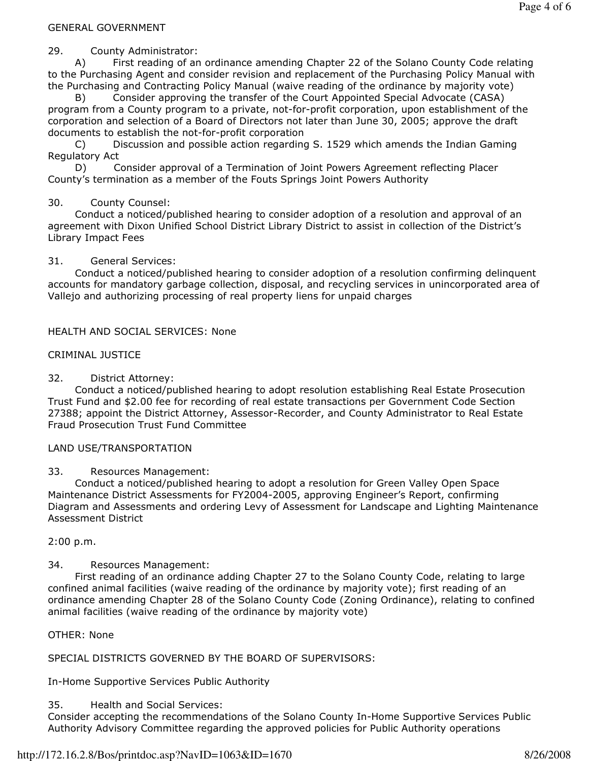#### GENERAL GOVERNMENT

29. County Administrator:

 A) First reading of an ordinance amending Chapter 22 of the Solano County Code relating to the Purchasing Agent and consider revision and replacement of the Purchasing Policy Manual with the Purchasing and Contracting Policy Manual (waive reading of the ordinance by majority vote)

Consider approving the transfer of the Court Appointed Special Advocate (CASA) program from a County program to a private, not-for-profit corporation, upon establishment of the corporation and selection of a Board of Directors not later than June 30, 2005; approve the draft documents to establish the not-for-profit corporation

 C) Discussion and possible action regarding S. 1529 which amends the Indian Gaming Regulatory Act

 D) Consider approval of a Termination of Joint Powers Agreement reflecting Placer County's termination as a member of the Fouts Springs Joint Powers Authority

### 30. County Counsel:

 Conduct a noticed/published hearing to consider adoption of a resolution and approval of an agreement with Dixon Unified School District Library District to assist in collection of the District's Library Impact Fees

## 31. General Services:

 Conduct a noticed/published hearing to consider adoption of a resolution confirming delinquent accounts for mandatory garbage collection, disposal, and recycling services in unincorporated area of Vallejo and authorizing processing of real property liens for unpaid charges

## HEALTH AND SOCIAL SERVICES: None

## CRIMINAL JUSTICE

32. District Attorney:

 Conduct a noticed/published hearing to adopt resolution establishing Real Estate Prosecution Trust Fund and \$2.00 fee for recording of real estate transactions per Government Code Section 27388; appoint the District Attorney, Assessor-Recorder, and County Administrator to Real Estate Fraud Prosecution Trust Fund Committee

### LAND USE/TRANSPORTATION

### 33. Resources Management:

 Conduct a noticed/published hearing to adopt a resolution for Green Valley Open Space Maintenance District Assessments for FY2004-2005, approving Engineer's Report, confirming Diagram and Assessments and ordering Levy of Assessment for Landscape and Lighting Maintenance Assessment District

2:00 p.m.

## 34. Resources Management:

 First reading of an ordinance adding Chapter 27 to the Solano County Code, relating to large confined animal facilities (waive reading of the ordinance by majority vote); first reading of an ordinance amending Chapter 28 of the Solano County Code (Zoning Ordinance), relating to confined animal facilities (waive reading of the ordinance by majority vote)

### OTHER: None

SPECIAL DISTRICTS GOVERNED BY THE BOARD OF SUPERVISORS:

In-Home Supportive Services Public Authority

### 35. Health and Social Services:

Consider accepting the recommendations of the Solano County In-Home Supportive Services Public Authority Advisory Committee regarding the approved policies for Public Authority operations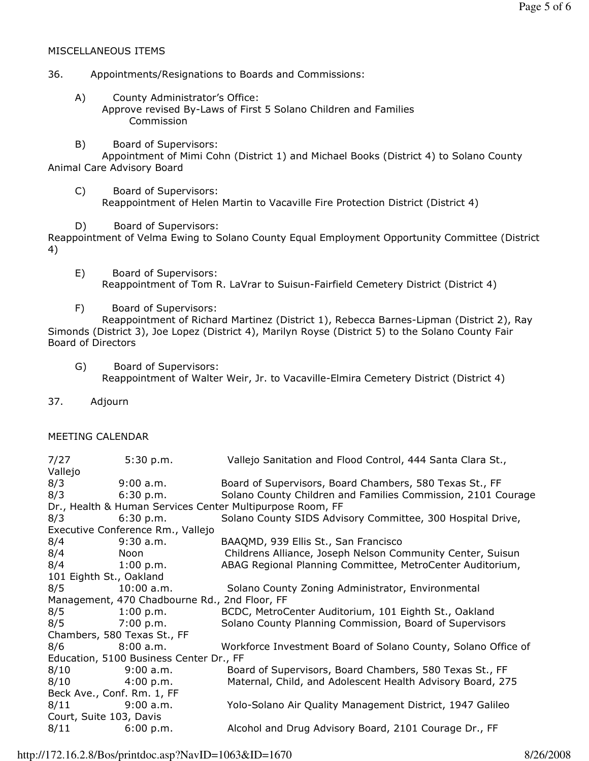#### MISCELLANEOUS ITEMS

#### 36. Appointments/Resignations to Boards and Commissions:

- A) County Administrator's Office: Approve revised By-Laws of First 5 Solano Children and Families Commission
- B) Board of Supervisors:

 Appointment of Mimi Cohn (District 1) and Michael Books (District 4) to Solano County Animal Care Advisory Board

- C) Board of Supervisors: Reappointment of Helen Martin to Vacaville Fire Protection District (District 4)
- D) Board of Supervisors:

Reappointment of Velma Ewing to Solano County Equal Employment Opportunity Committee (District 4)

- E) Board of Supervisors: Reappointment of Tom R. LaVrar to Suisun-Fairfield Cemetery District (District 4)
- F) Board of Supervisors:

 Reappointment of Richard Martinez (District 1), Rebecca Barnes-Lipman (District 2), Ray Simonds (District 3), Joe Lopez (District 4), Marilyn Royse (District 5) to the Solano County Fair Board of Directors

- G) Board of Supervisors: Reappointment of Walter Weir, Jr. to Vacaville-Elmira Cemetery District (District 4)
- 37. Adjourn

#### MEETING CALENDAR

| 7/27                                                      | 5:30 p.m.           | Vallejo Sanitation and Flood Control, 444 Santa Clara St.,    |  |
|-----------------------------------------------------------|---------------------|---------------------------------------------------------------|--|
| Vallejo                                                   |                     |                                                               |  |
| 8/3                                                       | 9:00 a.m.           | Board of Supervisors, Board Chambers, 580 Texas St., FF       |  |
| 8/3                                                       | 6:30 p.m.           | Solano County Children and Families Commission, 2101 Courage  |  |
| Dr., Health & Human Services Center Multipurpose Room, FF |                     |                                                               |  |
| 8/3                                                       | 6:30 p.m.           | Solano County SIDS Advisory Committee, 300 Hospital Drive,    |  |
| Executive Conference Rm., Vallejo                         |                     |                                                               |  |
| 8/4                                                       | $9:30$ a.m.         | BAAQMD, 939 Ellis St., San Francisco                          |  |
| 8/4                                                       | Noon                | Childrens Alliance, Joseph Nelson Community Center, Suisun    |  |
| 8/4                                                       | $1:00 \text{ p.m.}$ | ABAG Regional Planning Committee, MetroCenter Auditorium,     |  |
| 101 Eighth St., Oakland                                   |                     |                                                               |  |
| 8/5                                                       | 10:00 a.m.          | Solano County Zoning Administrator, Environmental             |  |
| Management, 470 Chadbourne Rd., 2nd Floor, FF             |                     |                                                               |  |
| 8/5                                                       | $1:00 \text{ p.m.}$ | BCDC, MetroCenter Auditorium, 101 Eighth St., Oakland         |  |
| 8/5                                                       | 7:00 p.m.           | Solano County Planning Commission, Board of Supervisors       |  |
| Chambers, 580 Texas St., FF                               |                     |                                                               |  |
| 8/6                                                       | 8:00 a.m.           | Workforce Investment Board of Solano County, Solano Office of |  |
| Education, 5100 Business Center Dr., FF                   |                     |                                                               |  |
| 8/10                                                      | $9:00$ a.m.         | Board of Supervisors, Board Chambers, 580 Texas St., FF       |  |
| 8/10                                                      | 4:00 p.m.           | Maternal, Child, and Adolescent Health Advisory Board, 275    |  |
| Beck Ave., Conf. Rm. 1, FF                                |                     |                                                               |  |
| 8/11                                                      | 9:00 a.m.           | Yolo-Solano Air Quality Management District, 1947 Galileo     |  |
| Court, Suite 103, Davis                                   |                     |                                                               |  |
| 8/11                                                      | 6:00 p.m.           | Alcohol and Drug Advisory Board, 2101 Courage Dr., FF         |  |